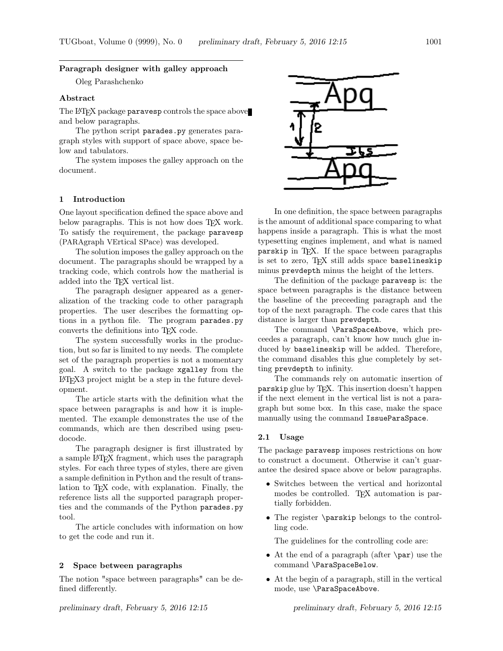## Paragraph designer with galley approach

Oleg Parashchenko

### Abstract

The L<sup>AT</sup>EX package paravesp controls the space above and below paragraphs.

The python script parades.py generates paragraph styles with support of space above, space below and tabulators.

The system imposes the galley approach on the document.

## 1 Introduction

One layout specification defined the space above and below paragraphs. This is not how does TFX work. To satisfy the requirement, the package paravesp (PARAgraph VErtical SPace) was developed.

The solution imposes the galley approach on the document. The paragraphs should be wrapped by a tracking code, which controls how the matherial is added into the T<sub>F</sub>X vertical list.

The paragraph designer appeared as a generalization of the tracking code to other paragraph properties. The user describes the formatting options in a python file. The program parades.py converts the definitions into TEX code.

The system successfully works in the production, but so far is limited to my needs. The complete set of the paragraph properties is not a momentary goal. A switch to the package xgalley from the LATEX3 project might be a step in the future development.

The article starts with the definition what the space between paragraphs is and how it is implemented. The example demonstrates the use of the commands, which are then described using pseudocode.

The paragraph designer is first illustrated by a sample LATEX fragment, which uses the paragraph styles. For each three types of styles, there are given a sample definition in Python and the result of translation to TEX code, with explanation. Finally, the reference lists all the supported paragraph properties and the commands of the Python parades.py tool.

The article concludes with information on how to get the code and run it.

### 2 Space between paragraphs

The notion "space between paragraphs" can be defined differently.



In one definition, the space between paragraphs is the amount of additional space comparing to what happens inside a paragraph. This is what the most typesetting engines implement, and what is named parskip in TEX. If the space between paragraphs is set to zero, TFX still adds space baselineskip minus prevdepth minus the height of the letters.

The definition of the package paravesp is: the space between paragraphs is the distance between the baseline of the preceeding paragraph and the top of the next paragraph. The code cares that this distance is larger than prevdepth.

The command \ParaSpaceAbove, which preceedes a paragraph, can't know how much glue induced by baselineskip will be added. Therefore, the command disables this glue completely by setting prevdepth to infinity.

The commands rely on automatic insertion of parskip glue by T<sub>F</sub>X. This insertion doesn't happen if the next element in the vertical list is not a paragraph but some box. In this case, make the space manually using the command IssueParaSpace.

#### 2.1 Usage

The package paravesp imposes restrictions on how to construct a document. Otherwise it can't guarantee the desired space above or below paragraphs.

- Switches between the vertical and horizontal modes be controlled. TFX automation is partially forbidden.
- The register \parskip belongs to the controlling code.

The guidelines for the controlling code are:

- At the end of a paragraph (after \par) use the command \ParaSpaceBelow.
- At the begin of a paragraph, still in the vertical mode, use \ParaSpaceAbove.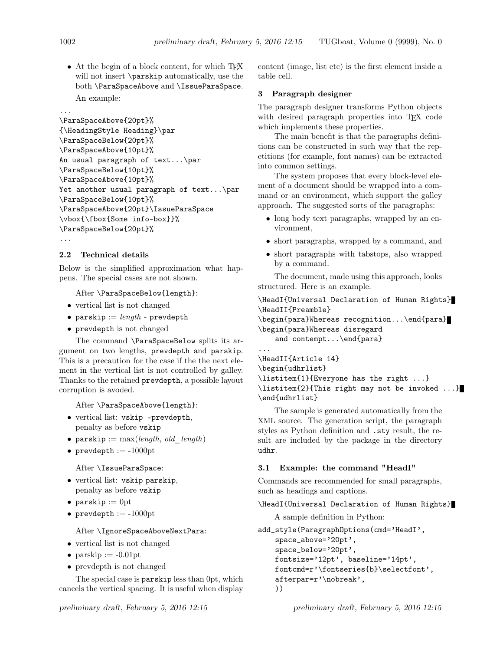• At the begin of a block content, for which TFX will not insert \parskip automatically, use the both \ParaSpaceAbove and \IssueParaSpace. An example:

#### ...

```
\ParaSpaceAbove{20pt}%
{\HeadingStyle Heading}\par
\ParaSpaceBelow{20pt}%
\ParaSpaceAbove{10pt}%
An usual paragraph of text...\par
\ParaSpaceBelow{10pt}%
\ParaSpaceAbove{10pt}%
Yet another usual paragraph of text...\par
\ParaSpaceBelow{10pt}%
\ParaSpaceAbove{20pt}\IssueParaSpace
\vbox{\fbox{Some info-box}}%
\ParaSpaceBelow{20pt}%
...
```
# 2.2 Technical details

Below is the simplified approximation what happens. The special cases are not shown.

After \ParaSpaceBelow{length}:

- vertical list is not changed
- parskip  $:=$  length prevdepth
- prevdepth is not changed

The command \ParaSpaceBelow splits its argument on two lengths, prevdepth and parskip. This is a precaution for the case if the the next element in the vertical list is not controlled by galley. Thanks to the retained prevdepth, a possible layout corruption is avoded.

After \ParaSpaceAbove{length}:

- vertical list: vskip -prevdepth, penalty as before vskip
- parskip :=  $max(length, old \ length)$
- prevdepth  $:= -1000$ pt

After \IssueParaSpace:

- vertical list: vskip parskip, penalty as before vskip
- parskip  $:= 0$ pt
- prevdepth  $:= -1000pt$

After \IgnoreSpaceAboveNextPara:

- vertical list is not changed
- parskip  $:= -0.01$ pt
- prevdepth is not changed

The special case is parskip less than 0pt, which cancels the vertical spacing. It is useful when display

content (image, list etc) is the first element inside a table cell.

# 3 Paragraph designer

The paragraph designer transforms Python objects with desired paragraph properties into TFX code which implements these properties.

The main benefit is that the paragraphs definitions can be constructed in such way that the repetitions (for example, font names) can be extracted into common settings.

The system proposes that every block-level element of a document should be wrapped into a command or an environment, which support the galley approach. The suggested sorts of the paragraphs:

- long body text paragraphs, wrapped by an environment,
- short paragraphs, wrapped by a command, and
- short paragraphs with tabstops, also wrapped by a command.

The document, made using this approach, looks structured. Here is an example.

```
\HeadI{Universal Declaration of Human Rights}
\HeadII{Preamble}
```
\begin{para}Whereas recognition...\end{para} \begin{para}Whereas disregard and contempt...\end{para}

... \HeadII{Article 14} \begin{udhrlist} \listitem{1}{Everyone has the right ...} \listitem{2}{This right may not be invoked ...} \end{udhrlist}

The sample is generated automatically from the XML source. The generation script, the paragraph styles as Python definition and .sty result, the result are included by the package in the directory udhr.

# 3.1 Example: the command "HeadI"

Commands are recommended for small paragraphs, such as headings and captions.

\HeadI{Universal Declaration of Human Rights}

A sample definition in Python:

```
add_style(ParagraphOptions(cmd='HeadI',
    space_above='20pt',
    space_below='20pt',
    fontsize='12pt', baseline='14pt',
    fontcmd=r'\fontseries{b}\selectfont',
    afterpar=r'\nobreak',
    ))
```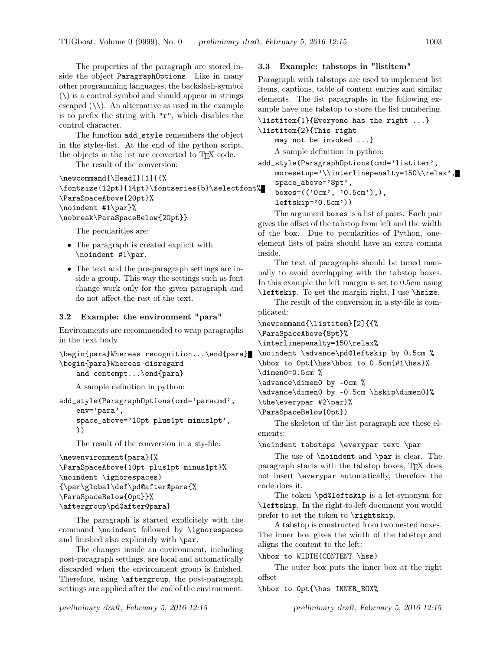The properties of the paragraph are stored inside the object ParagraphOptions. Like in many other programming languages, the backslash-symbol  $(\setminus)$  is a control symbol and should appear in strings escaped  $(\setminus)$ . An alternative as used in the example is to prefix the string with "r", which disables the control character.

The function add\_style remembers the object in the styles-list. At the end of the python script, the objects in the list are converted to T<sub>E</sub>X code.

The result of the conversion:

```
\newcommand{\HeadI}[1]{{%
\fontsize{12pt}{14pt}\fontseries{b}\selectfont%
\ParaSpaceAbove{20pt}%
\noindent #1\par}%
\nobreak\ParaSpaceBelow{20pt}}
```
The pecularities are:

- The paragraph is created explicit with \noindent #1\par.
- The text and the pre-paragraph settings are inside a group. This way the settings such as font change work only for the given paragraph and do not affect the rest of the text.

### 3.2 Example: the environment "para"

Environments are recommended to wrap paragraphs in the text body.

```
\begin{para}Whereas recognition...\end{para}
\begin{para}Whereas disregard
    and contempt...\end{para}
```
A sample definition in python:

```
add_style(ParagraphOptions(cmd='paracmd',
    env='para',
    space_above='10pt plus1pt minus1pt',
    ))
```
The result of the conversion in a sty-file:

```
\newenvironment{para}{%
\ParaSpaceAbove{10pt plus1pt minus1pt}%
\noindent \ignorespaces}
{\par\global\def\pd@after@para{%
\ParaSpaceBelow{0pt}}%
\aftergroup\pd@after@para}
```
The paragraph is started explicitely with the command \noindent followed by \ignorespaces and finished also explicitely with \par.

The changes inside an environment, including post-paragraph settings, are local and automatically discarded when the environment group is finished. Therefore, using \aftergroup, the post-paragraph settings are applied after the end of the environment.

## 3.3 Example: tabstops in "listitem"

Paragraph with tabstops are used to implement list items, captions, table of content entries and similar elements. The list paragraphs in the following example have one tabstop to store the list numbering.

\listitem{1}{Everyone has the right ...} \listitem{2}{This right

may not be invoked ...}

A sample definition in python:

add\_style(ParagraphOptions(cmd='listitem', moresetup='\\interlinepenalty=150\\relax', space\_above='8pt',

boxes=(('0cm', '0.5cm'),), leftskip='0.5cm'))

The argument boxes is a list of pairs. Each pair gives the offset of the tabstop from left and the width of the box. Due to pecularities of Python, oneelement lists of pairs should have an extra comma inside.

The text of paragraphs should be tuned manually to avoid overlapping with the tabstop boxes. In this example the left margin is set to 0.5cm using \leftskip. To get the margin right, I use \hsize.

The result of the conversion in a sty-file is complicated:

```
\newcommand{\listitem}[2]{{%
\ParaSpaceAbove{8pt}%
\interlinepenalty=150\relax%
\noindent \advance\pd@leftskip by 0.5cm %
\hbox to 0pt{\hss\hbox to 0.5cm{#1\hss}%
\dimen0=0.5cm %
\advance\dimen0 by -0cm %
\advance\dimen0 by -0.5cm \hskip\dimen0}%
\the\everypar #2\par}%
\ParaSpaceBelow{0pt}}
```
The skeleton of the list paragraph are these elements:

\noindent tabstops \everypar text \par

The use of \noindent and \par is clear. The paragraph starts with the tabstop boxes, TEX does not insert \everypar automatically, therefore the code does it.

The token \pd@leftskip is a let-synonym for \leftskip. In the right-to-left document you would prefer to set the token to \rightskip.

A tabstop is constructed from two nested boxes. The inner box gives the width of the tabstop and aligns the content to the left:

\hbox to WIDTH{CONTENT \hss}

The outer box puts the inner box at the right offset

\hbox to 0pt{\hss INNER\_BOX%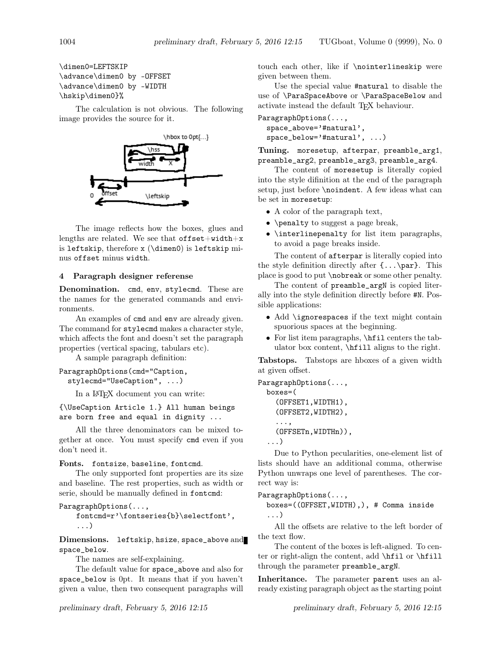\dimen0=LEFTSKIP \advance\dimen0 by -OFFSET \advance\dimen0 by -WIDTH \hskip\dimen0}%

The calculation is not obvious. The following image provides the source for it.



The image reflects how the boxes, glues and lengths are related. We see that  $offset+width+x$ is leftskip, therefore x (\dimen0) is leftskip minus offset minus width.

## 4 Paragraph designer referense

Denomination. cmd, env, stylecmd. These are the names for the generated commands and environments.

An examples of cmd and env are already given. The command for stylecmd makes a character style, which affects the font and doesn't set the paragraph properties (vertical spacing, tabulars etc).

A sample paragraph definition:

## ParagraphOptions(cmd="Caption,

stylecmd="UseCaption", ...)

In a LATEX document you can write:

{\UseCaption Article 1.} All human beings are born free and equal in dignity ...

All the three denominators can be mixed together at once. You must specify cmd even if you don't need it.

#### Fonts. fontsize, baseline, fontcmd.

The only supported font properties are its size and baseline. The rest properties, such as width or serie, should be manually defined in fontcmd:

```
ParagraphOptions(...,
```
fontcmd=r'\fontseries{b}\selectfont', ...)

Dimensions. leftskip, hsize, space\_above and space\_below.

The names are self-explaining.

The default value for space\_above and also for space\_below is 0pt. It means that if you haven't given a value, then two consequent paragraphs will

touch each other, like if \nointerlineskip were given between them.

Use the special value #natural to disable the use of \ParaSpaceAbove or \ParaSpaceBelow and activate instead the default TEX behaviour.

ParagraphOptions(..., space\_above='#natural', space\_below='#natural', ...)

Tuning. moresetup, afterpar, preamble\_arg1, preamble\_arg2, preamble\_arg3, preamble\_arg4.

The content of moresetup is literally copied into the style difinition at the end of the paragraph setup, just before \noindent. A few ideas what can be set in moresetup:

- A color of the paragraph text,
- \penalty to suggest a page break,
- \interlinepenalty for list item paragraphs, to avoid a page breaks inside.

The content of afterpar is literally copied into the style definition directly after  $\{\ldots\$ par}. This place is good to put \nobreak or some other penalty.

The content of preamble\_argN is copied literally into the style definition directly before #N. Possible applications:

- Add \ignorespaces if the text might contain spuorious spaces at the beginning.
- For list item paragraphs, \hfil centers the tabulator box content, \hfill aligns to the right.

Tabstops. Tabstops are hboxes of a given width at given offset.

```
ParagraphOptions(...,
  boxes=(
    (OFFSET1,WIDTH1),
    (OFFSET2,WIDTH2),
    ...,
    (OFFSETn,WIDTHn)),
  ...)
```
Due to Python pecularities, one-element list of lists should have an additional comma, otherwise Python unwraps one level of parentheses. The correct way is:

## ParagraphOptions(...,

```
boxes=((OFFSET,WIDTH),), # Comma inside
...)
```
All the offsets are relative to the left border of the text flow.

The content of the boxes is left-aligned. To center or right-align the content, add \hfil or \hfill through the parameter preamble\_argN.

Inheritance. The parameter parent uses an already existing paragraph object as the starting point